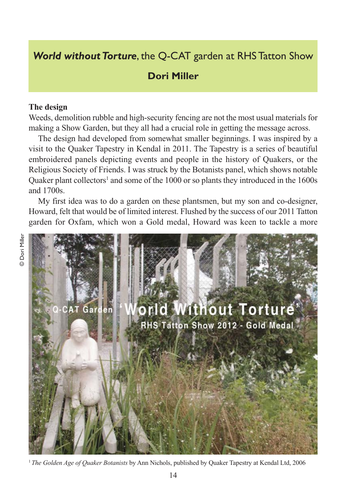# *World without Torture*, the Q-CAT garden at RHS Tatton Show

## **Dori Miller**

#### **The design**

Weeds, demolition rubble and high-security fencing are not the most usual materials for making a Show Garden, but they all had a crucial role in getting the message across.

The design had developed from somewhat smaller beginnings. I was inspired by a visit to the Quaker Tapestry in Kendal in 2011. The Tapestry is a series of beautiful embroidered panels depicting events and people in the history of Quakers, or the Religious Society of Friends. I was struck by the Botanists panel, which shows notable Quaker plant collectors<sup>1</sup> and some of the 1000 or so plants they introduced in the  $1600s$ and 1700s.

My first idea was to do a garden on these plantsmen, but my son and co-designer, Howard, felt that would be of limited interest. Flushed by the success of our 2011 Tatton garden for Oxfam, which won a Gold medal, Howard was keen to tackle a more

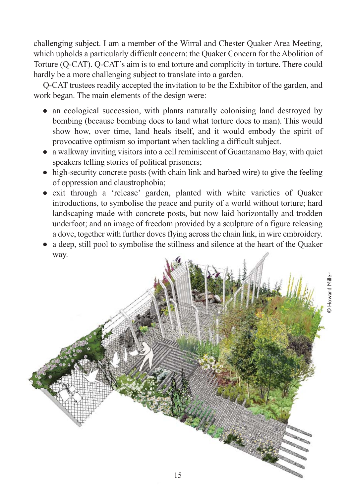challenging subject. I am a member of the Wirral and Chester Quaker Area Meeting, which upholds a particularly difficult concern: the Quaker Concern for the Abolition of Torture (Q-CAT). Q-CAT's aim is to end torture and complicity in torture. There could hardly be a more challenging subject to translate into a garden.

Q-CAT trustees readily accepted the invitation to be the Exhibitor of the garden, and work began. The main elements of the design were:

- an ecological succession, with plants naturally colonising land destroyed by bombing (because bombing does to land what torture does to man). This would show how, over time, land heals itself, and it would embody the spirit of provocative optimism so important when tackling a difficult subject.
- a walkway inviting visitors into a cell reminiscent of Guantanamo Bay, with quiet speakers telling stories of political prisoners;
- $\bullet$  high-security concrete posts (with chain link and barbed wire) to give the feeling of oppression and claustrophobia;
- exit through a 'release' garden, planted with white varieties of Quaker introductions, to symbolise the peace and purity of a world without torture; hard landscaping made with concrete posts, but now laid horizontally and trodden underfoot; and an image of freedom provided by a sculpture of a figure releasing a dove, together with further doves flying across the chain link, in wire embroidery.
- a deep, still pool to symbolise the stillness and silence at the heart of the Quaker way.

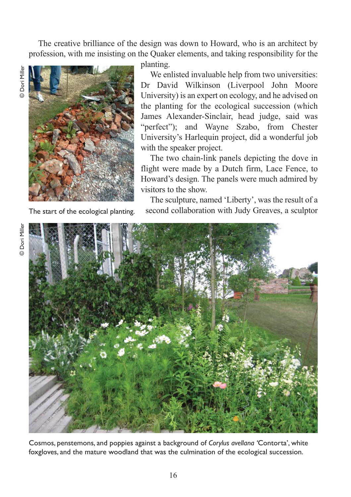The creative brilliance of the design was down to Howard, who is an architect by profession, with me insisting on the Quaker elements, and taking responsibility for the

© Dori Miller Dori Mille



The start of the ecological planting.

planting.

We enlisted invaluable help from two universities: Dr David Wilkinson (Liverpool John Moore University) is an expert on ecology, and he advised on the planting for the ecological succession (which James Alexander-Sinclair, head judge, said was "perfect"); and Wayne Szabo, from Chester University's Harlequin project, did a wonderful job with the speaker project.

The two chain-link panels depicting the dove in flight were made by a Dutch firm, Lace Fence, to Howard's design. The panels were much admired by visitors to the show.

The sculpture, named 'Liberty', was the result of a second collaboration with Judy Greaves, a sculptor



Cosmos, penstemons, and poppies against a background of *Corylus avellana '*Contorta', white foxgloves, and the mature woodland that was the culmination of the ecological succession.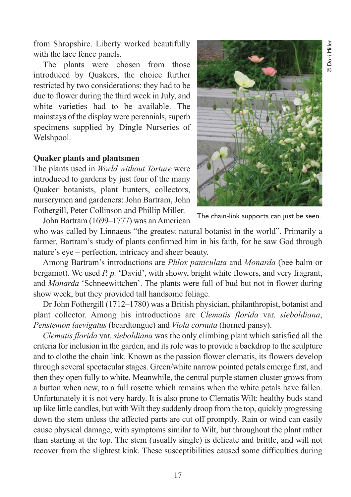from Shropshire. Liberty worked beautifully with the lace fence panels.

The plants were chosen from those introduced by Quakers, the choice further restricted by two considerations: they had to be due to flower during the third week in July, and white varieties had to be available. The mainstays of the display were perennials, superb specimens supplied by Dingle Nurseries of Welshpool.

#### **Quaker plants and plantsmen**

The plants used in *World without Torture* were introduced to gardens by just four of the many Quaker botanists, plant hunters, collectors, nurserymen and gardeners: John Bartram, John Fothergill, Peter Collinson and Phillip Miller.



The chain-link supports can just be seen.

John Bartram (1699–1777) was an American

who was called by Linnaeus "the greatest natural botanist in the world". Primarily a farmer, Bartram's study of plants confirmed him in his faith, for he saw God through nature's eye – perfection, intricacy and sheer beauty.

Among Bartram's introductions are *Phlox paniculata* and *Monarda* (bee balm or bergamot). We used *P. p.* 'David', with showy, bright white flowers, and very fragrant, and *Monarda* 'Schneewittchen'. The plants were full of bud but not in flower during show week, but they provided tall handsome foliage.

Dr John Fothergill (1712–1780) was a British physician, philanthropist, botanist and plant collector. Among his introductions are *Clematis florida* var. *sieboldiana*, *Penstemon laevigatus* (beardtongue) and *Viola cornuta* (horned pansy).

*Clematis florida* var. *sieboldiana* was the only climbing plant which satisfied all the criteria for inclusion in the garden, and its role was to provide a backdrop to the sculpture and to clothe the chain link. Known as the passion flower clematis, its flowers develop through several spectacular stages. Green/white narrow pointed petals emerge first, and then they open fully to white. Meanwhile, the central purple stamen cluster grows from a button when new, to a full rosette which remains when the white petals have fallen. Unfortunately it is not very hardy. It is also prone to Clematis Wilt: healthy buds stand up like little candles, but with Wilt they suddenly droop from the top, quickly progressing down the stem unless the affected parts are cut off promptly. Rain or wind can easily cause physical damage, with symptoms similar to Wilt, but throughout the plant rather than starting at the top. The stem (usually single) is delicate and brittle, and will not recover from the slightest kink. These susceptibilities caused some difficulties during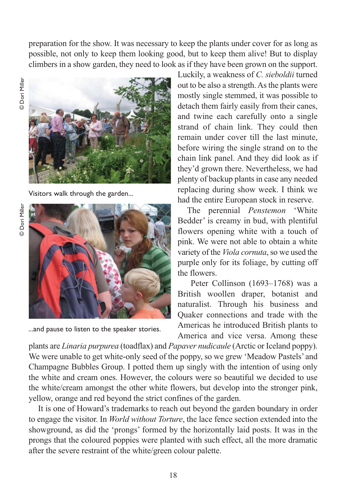preparation for the show. It was necessary to keep the plants under cover for as long as possible, not only to keep them looking good, but to keep them alive! But to display climbers in a show garden, they need to look as if they have been grown on the support.



Visitors walk through the garden...



...and pause to listen to the speaker stories.

Luckily, a weakness of *C. sieboldii* turned out to be also a strength. As the plants were mostly single stemmed, it was possible to detach them fairly easily from their canes, and twine each carefully onto a single strand of chain link. They could then remain under cover till the last minute, before wiring the single strand on to the chain link panel. And they did look as if they'd grown there. Nevertheless, we had plenty of backup plants in case any needed replacing during show week. I think we had the entire European stock in reserve.

The perennial *Penstemon* 'White Bedder' is creamy in bud, with plentiful flowers opening white with a touch of pink. We were not able to obtain a white variety of the *Viola cornuta*, so we used the purple only for its foliage, by cutting off the flowers.

Peter Collinson (1693–1768) was a British woollen draper, botanist and naturalist. Through his business and Quaker connections and trade with the Americas he introduced British plants to America and vice versa. Among these

plants are *Linaria purpurea* (toadflax) and *Papaver nudicaule* (Arctic or Iceland poppy). We were unable to get white-only seed of the poppy, so we grew 'Meadow Pastels' and Champagne Bubbles Group. I potted them up singly with the intention of using only the white and cream ones. However, the colours were so beautiful we decided to use the white/cream amongst the other white flowers, but develop into the stronger pink, yellow, orange and red beyond the strict confines of the garden.

It is one of Howard's trademarks to reach out beyond the garden boundary in order to engage the visitor. In *World without Torture*, the lace fence section extended into the showground, as did the 'prongs' formed by the horizontally laid posts. It was in the prongs that the coloured poppies were planted with such effect, all the more dramatic after the severe restraint of the white/green colour palette.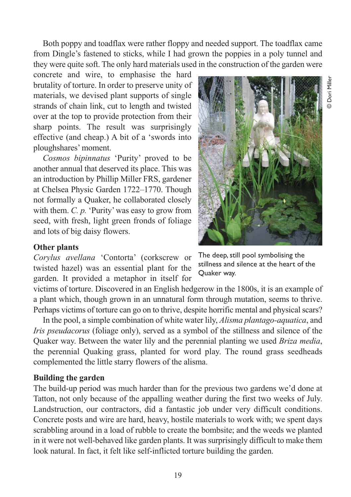Both poppy and toadflax were rather floppy and needed support. The toadflax came from Dingle's fastened to sticks, while I had grown the poppies in a poly tunnel and they were quite soft. The only hard materials used in the construction of the garden were

concrete and wire, to emphasise the hard brutality of torture. In order to preserve unity of materials, we devised plant supports of single strands of chain link, cut to length and twisted over at the top to provide protection from their sharp points. The result was surprisingly effective (and cheap.) A bit of a 'swords into ploughshares' moment.

*Cosmos bipinnatus* 'Purity' proved to be another annual that deserved its place. This was an introduction by Phillip Miller FRS, gardener at Chelsea Physic Garden 1722–1770. Though not formally a Quaker, he collaborated closely with them. *C. p.* 'Purity' was easy to grow from seed, with fresh, light green fronds of foliage and lots of big daisy flowers.



### **Other plants**

*Corylus avellana* 'Contorta' (corkscrew or twisted hazel) was an essential plant for the garden. It provided a metaphor in itself for

The deep, still pool symbolising the stillness and silence at the heart of the Quaker way.

victims of torture. Discovered in an English hedgerow in the 1800s, it is an example of a plant which, though grown in an unnatural form through mutation, seems to thrive. Perhaps victims of torture can go on to thrive, despite horrific mental and physical scars?

In the pool, a simple combination of white water lily, *Alisma plantago-aquatica*, and *Iris pseudacorus* (foliage only), served as a symbol of the stillness and silence of the Quaker way. Between the water lily and the perennial planting we used *Briza media*, the perennial Quaking grass, planted for word play. The round grass seedheads complemented the little starry flowers of the alisma.

#### **Building the garden**

The build-up period was much harder than for the previous two gardens we'd done at Tatton, not only because of the appalling weather during the first two weeks of July. Landstruction, our contractors, did a fantastic job under very difficult conditions. Concrete posts and wire are hard, heavy, hostile materials to work with; we spent days scrabbling around in a load of rubble to create the bombsite; and the weeds we planted in it were not well-behaved like garden plants. It was surprisingly difficult to make them look natural. In fact, it felt like self-inflicted torture building the garden.